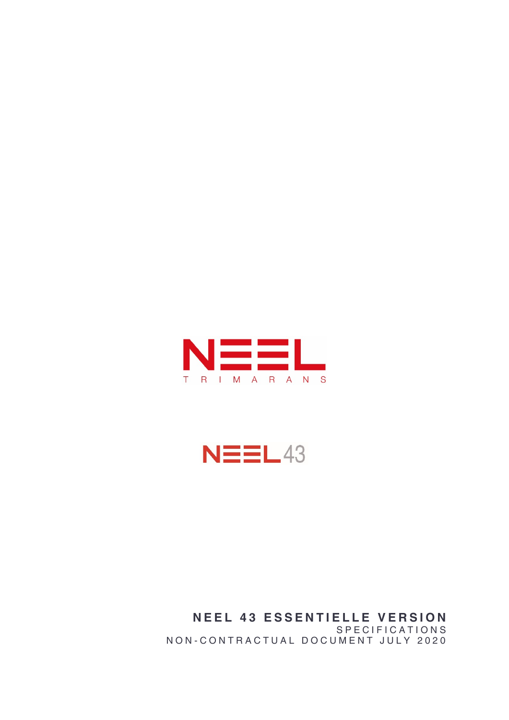

 $N\equiv\equiv$ L43

NEEL 43 ESSENTIELLE VERSION S P E C I F I C A T I O N S NON-CONTRACTUAL DOCUMENT JULY 2020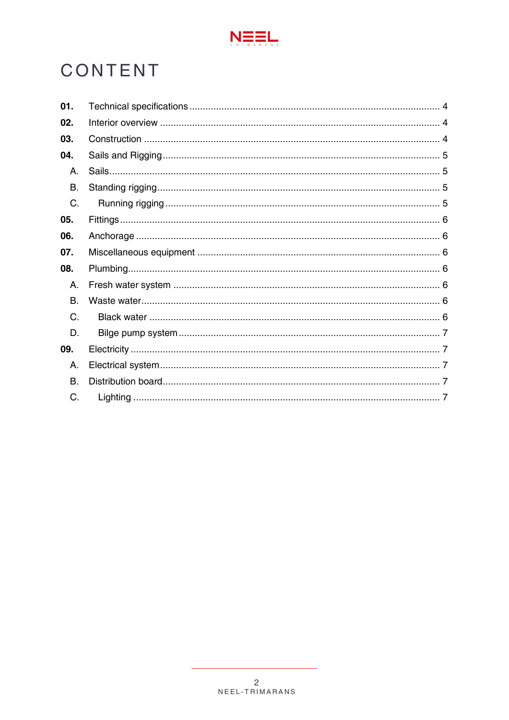

# CONTENT

| 01. |  |
|-----|--|
| 02. |  |
| 03. |  |
| 04. |  |
| А.  |  |
| В.  |  |
| C.  |  |
| 05. |  |
| 06. |  |
| 07. |  |
| 08. |  |
| А.  |  |
| В.  |  |
| C.  |  |
| D.  |  |
| 09. |  |
| А.  |  |
| В.  |  |
| C.  |  |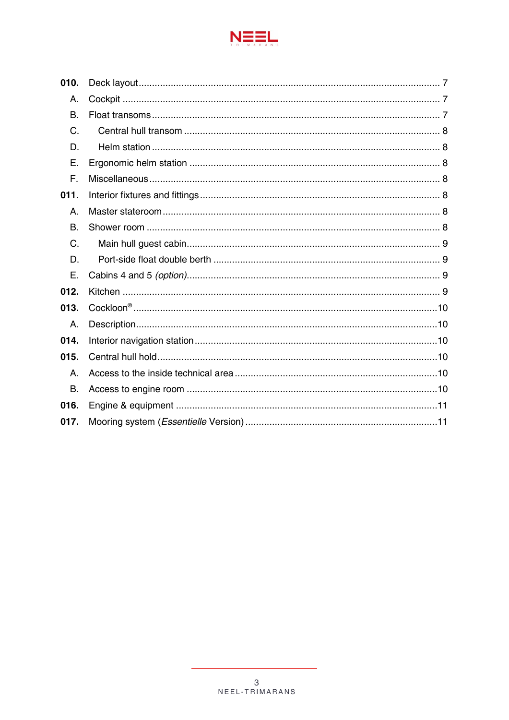

| 010. |  |
|------|--|
| А.   |  |
| В.   |  |
| C.   |  |
| D.   |  |
| Е.   |  |
| F.   |  |
| 011. |  |
| А.   |  |
| B.   |  |
| C.   |  |
| D.   |  |
| Ε.   |  |
| 012. |  |
| 013. |  |
| А.   |  |
| 014. |  |
| 015. |  |
| А.   |  |
| B.   |  |
| 016. |  |
| 017. |  |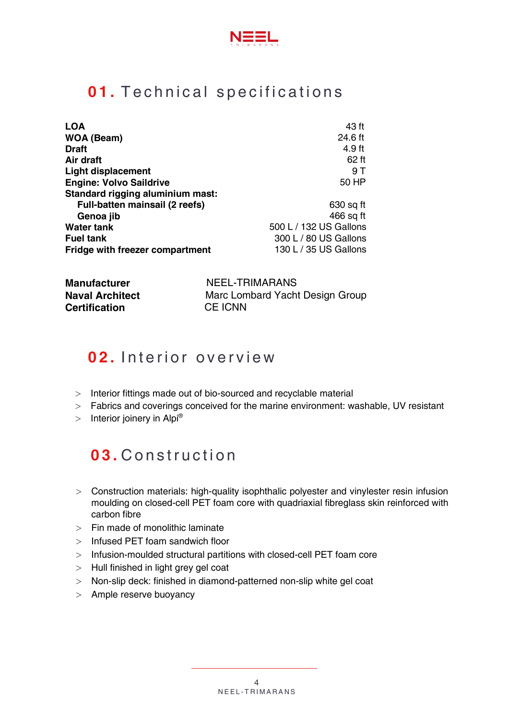

## <span id="page-3-0"></span>01. Technical specifications

| <b>LOA</b>                            | 43 ft                  |
|---------------------------------------|------------------------|
| WOA (Beam)                            | 24.6 ft                |
| <b>Draft</b>                          | 4.9 ft                 |
| Air draft                             | 62 ft                  |
| <b>Light displacement</b>             | 9 T                    |
| <b>Engine: Volvo Saildrive</b>        | 50 HP                  |
| Standard rigging aluminium mast:      |                        |
| <b>Full-batten mainsail (2 reefs)</b> | 630 sq ft              |
| Genoa jib                             | 466 sq ft              |
| <b>Water tank</b>                     | 500 L / 132 US Gallons |
| <b>Fuel tank</b>                      | 300 L / 80 US Gallons  |
| Fridge with freezer compartment       | 130 L / 35 US Gallons  |

| Manufacturer           | NEEL-TRIMARANS                  |
|------------------------|---------------------------------|
| <b>Naval Architect</b> | Marc Lombard Yacht Design Group |
| Certification          | <b>CE ICNN</b>                  |

## <span id="page-3-1"></span>02. Interior overview

- $>$  Interior fittings made out of bio-sourced and recyclable material
- Fabrics and coverings conceived for the marine environment: washable, UV resistant
- <span id="page-3-2"></span> $>$  Interior joinery in Alpi®

## 03. Construction

- $>$  Construction materials: high-quality isophthalic polyester and vinylester resin infusion moulding on closed-cell PET foam core with quadriaxial fibreglass skin reinforced with carbon fibre
- $>$  Fin made of monolithic laminate
- $>$  Infused PET foam sandwich floor
- $>$  Infusion-moulded structural partitions with closed-cell PET foam core
- $>$  Hull finished in light grey gel coat
- > Non-slip deck: finished in diamond-patterned non-slip white gel coat
- $>$  Ample reserve buoyancy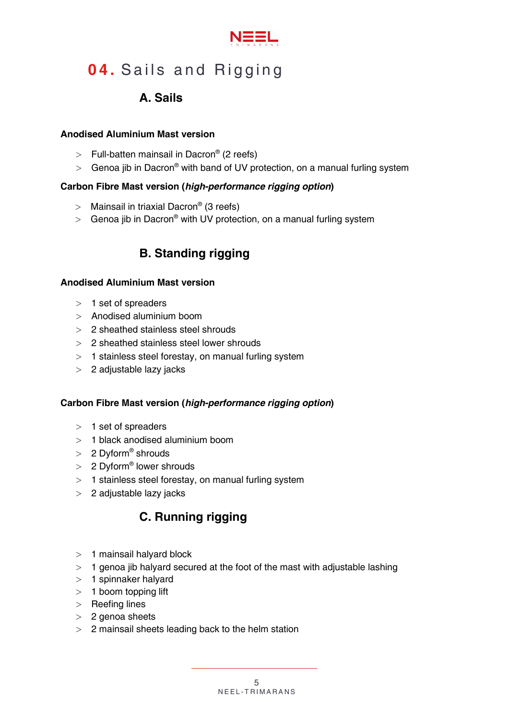

# <span id="page-4-1"></span><span id="page-4-0"></span>04. Sails and Rigging

## A. Sails

#### Anodised Aluminium Mast version

- $>$  Full-batten mainsail in Dacron® (2 reefs)
- So Genoa jib in Dacron<sup>®</sup> with band of UV protection, on a manual furling system

#### Carbon Fibre Mast version (*high-performance rigging option*)

- $>$  Mainsail in triaxial Dacron® (3 reefs)
- <span id="page-4-2"></span>Senoa jib in Dacron<sup>®</sup> with UV protection, on a manual furling system

## B. Standing rigging

#### Anodised Aluminium Mast version

- $>1$  set of spreaders
- $>$  Anodised aluminium boom
- 2 sheathed stainless steel shrouds
- 2 sheathed stainless steel lower shrouds
- $>$  1 stainless steel forestay, on manual furling system
- $>$  2 adjustable lazy jacks

#### Carbon Fibre Mast version (*high-performance rigging option*)

- $> 1$  set of spreaders
- 1 black anodised aluminium boom
- > 2 Dyform® shrouds
- > 2 Dyform® lower shrouds
- $>$  1 stainless steel forestay, on manual furling system
- <span id="page-4-3"></span>2 adjustable lazy jacks

## C. Running rigging

- $>1$  mainsail halyard block
- $>$  1 genoa jib halyard secured at the foot of the mast with adjustable lashing
- $>1$  spinnaker halyard
- $>1$  boom topping lift
- $>$  Reefing lines
- $>2$  genoa sheets
- 2 mainsail sheets leading back to the helm station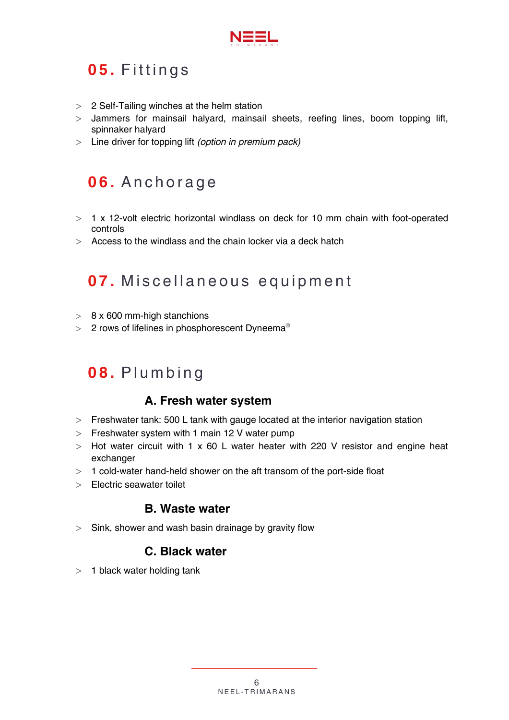

# <span id="page-5-0"></span>05. Fittings

- $>$  2 Self-Tailing winches at the helm station
- Jammers for mainsail halyard, mainsail sheets, reefing lines, boom topping lift, spinnaker halyard
- Line driver for topping lift *(option in premium pack)*

# <span id="page-5-1"></span>**06.** Anchorage

- $>$  1 x 12-volt electric horizontal windlass on deck for 10 mm chain with foot-operated controls
- $>$  Access to the windlass and the chain locker via a deck hatch

## <span id="page-5-2"></span>07. Miscellaneous equipment

- $> 8 \times 600$  mm-high stanchions
- $>$  2 rows of lifelines in phosphorescent Dyneema<sup>®</sup>

# <span id="page-5-4"></span><span id="page-5-3"></span>08. Plumbing

### A. Fresh water system

- $>$  Freshwater tank: 500 L tank with gauge located at the interior navigation station
- $>$  Freshwater system with 1 main 12 V water pump
- $>$  Hot water circuit with 1 x 60 L water heater with 220 V resistor and engine heat exchanger
- $>$  1 cold-water hand-held shower on the aft transom of the port-side float
- <span id="page-5-5"></span>Electric seawater toilet

### B. Waste water

<span id="page-5-6"></span> $>$  Sink, shower and wash basin drainage by gravity flow

### C. Black water

 $>1$  black water holding tank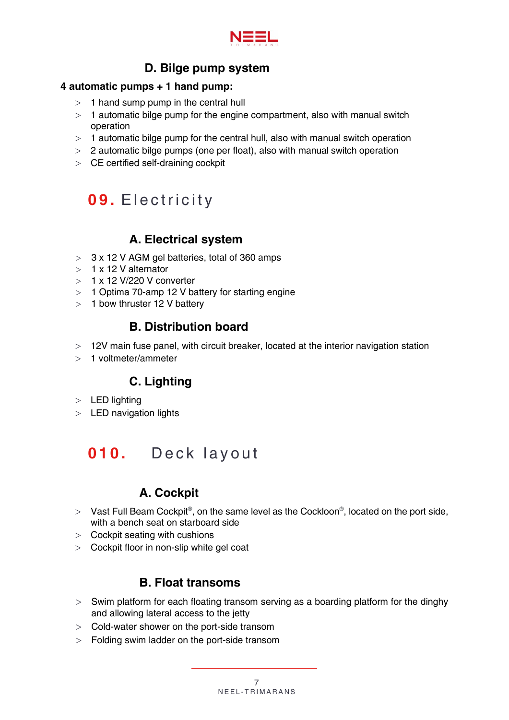

## D. Bilge pump system

#### <span id="page-6-0"></span>4 automatic pumps + 1 hand pump:

- $>1$  hand sump pump in the central hull
- $>$  1 automatic bilge pump for the engine compartment, also with manual switch operation
- $>$  1 automatic bilge pump for the central hull, also with manual switch operation
- $>$  2 automatic bilge pumps (one per float), also with manual switch operation
- $\geq$  CE certified self-draining cockpit

# <span id="page-6-1"></span>09. Electricity

## A. Electrical system

- <span id="page-6-2"></span> $>$  3 x 12 V AGM gel batteries, total of 360 amps
- $>1$  x 12 V alternator
- $> 1 x 12 V/220 V$  converter
- $>1$  Optima 70-amp 12 V battery for starting engine
- <span id="page-6-3"></span> $>$  1 bow thruster 12 V battery

### B. Distribution board

- 12V main fuse panel, with circuit breaker, located at the interior navigation station
- <span id="page-6-4"></span> $>1$  voltmeter/ammeter

### C. Lighting

- $>$  LED lighting
- $>$  LED navigation lights

# <span id="page-6-5"></span>**010.** Deck layout

## A. Cockpit

- <span id="page-6-6"></span>> Vast Full Beam Cockpit®, on the same level as the Cockloon®, located on the port side, with a bench seat on starboard side
- $>$  Cockpit seating with cushions
- <span id="page-6-7"></span>Cockpit floor in non-slip white gel coat

### B. Float transoms

- $>$  Swim platform for each floating transom serving as a boarding platform for the dinghy and allowing lateral access to the jetty
- $>$  Cold-water shower on the port-side transom
- Folding swim ladder on the port-side transom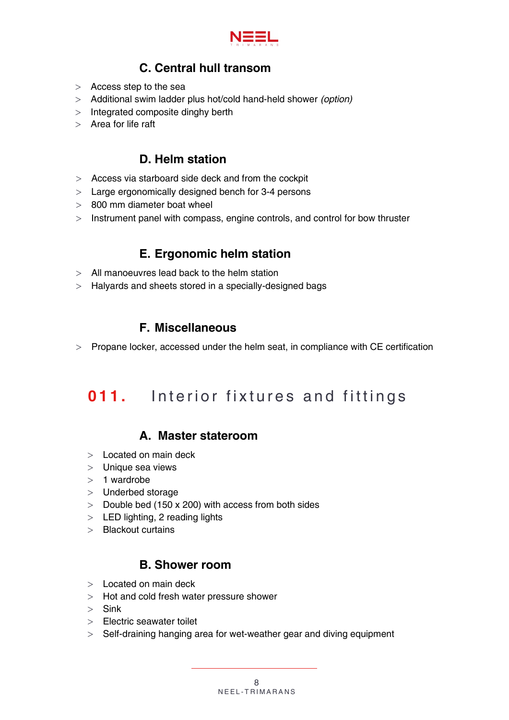

## C. Central hull transom

- <span id="page-7-0"></span> $>$  Access step to the sea
- Additional swim ladder plus hot/cold hand-held shower *(option)*
- $>$  Integrated composite dinghy berth
- $>$  Area for life raft

### D. Helm station

- <span id="page-7-1"></span>Access via starboard side deck and from the cockpit
- Large ergonomically designed bench for 3-4 persons
- 800 mm diameter boat wheel
- $>$  Instrument panel with compass, engine controls, and control for bow thruster

### E. Ergonomic helm station

- <span id="page-7-2"></span>All manoeuvres lead back to the helm station
- <span id="page-7-3"></span>Halyards and sheets stored in a specially-designed bags

### F. Miscellaneous

 $>$  Propane locker, accessed under the helm seat, in compliance with CE certification

## <span id="page-7-4"></span>**011.** Interior fixtures and fittings

### <span id="page-7-5"></span>A. Master stateroom

- $>$  Located on main deck
- $>$  Unique sea views
- $>1$  wardrobe
- > Underbed storage
- $>$  Double bed (150 x 200) with access from both sides
- $>$  LED lighting, 2 reading lights
- $>$  Blackout curtains

### B. Shower room

- <span id="page-7-6"></span> $>$  Located on main deck
- $>$  Hot and cold fresh water pressure shower
- $>$  Sink
- > Electric seawater toilet
- $>$  Self-draining hanging area for wet-weather gear and diving equipment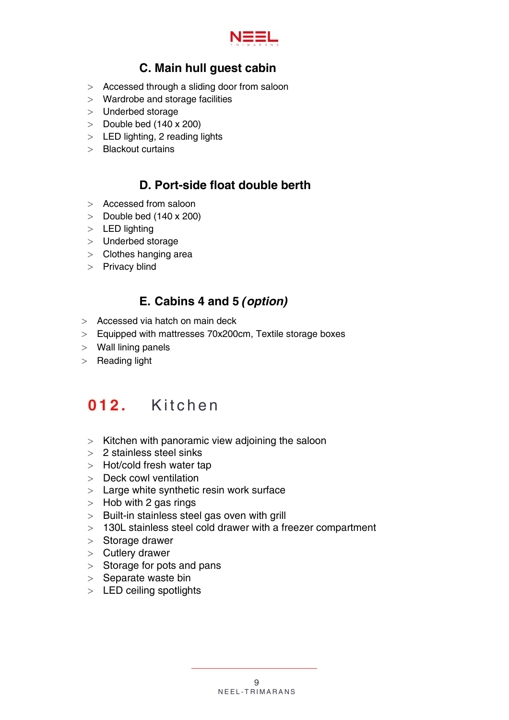

## C. Main hull guest cabin

- <span id="page-8-0"></span>Accessed through a sliding door from saloon
- Wardrobe and storage facilities
- $>$  Underbed storage
- $>$  Double bed (140 x 200)
- $>$  LED lighting, 2 reading lights
- <span id="page-8-1"></span> $\geq$  Blackout curtains

### D. Port-side float double berth

- > Accessed from saloon
- $>$  Double bed (140 x 200)
- $>$  LED lighting
- Underbed storage
- $>$  Clothes hanging area
- $>$  Privacy blind

## E. Cabins 4 and 5 *(option)*

- <span id="page-8-2"></span>Accessed via hatch on main deck
- Equipped with mattresses 70x200cm, Textile storage boxes
- Wall lining panels
- $>$  Reading light

## <span id="page-8-3"></span>012. Kitchen

- $>$  Kitchen with panoramic view adjoining the saloon
- 2 stainless steel sinks
- > Hot/cold fresh water tap
- $>$  Deck cowl ventilation
- $>$  Large white synthetic resin work surface
- $>$  Hob with 2 gas rings
- $>$  Built-in stainless steel gas oven with grill
- 130L stainless steel cold drawer with a freezer compartment
- $>$  Storage drawer
- $>$  Cutlery drawer
- $>$  Storage for pots and pans
- $>$  Separate waste bin
- > LED ceiling spotlights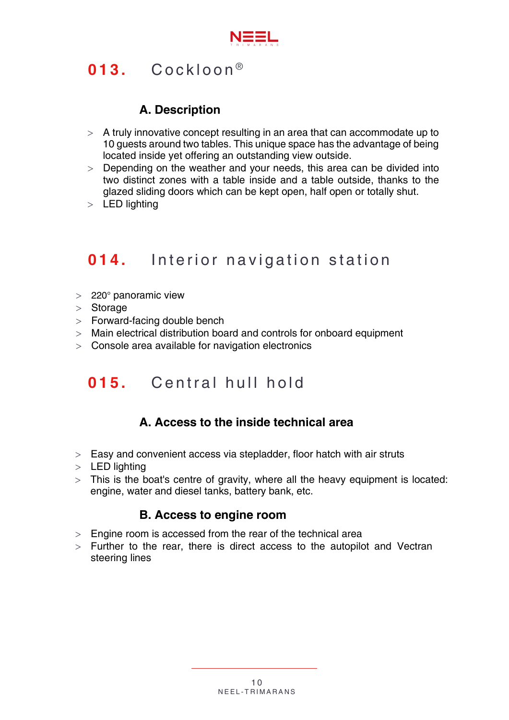

# <span id="page-9-0"></span> $013.$  Cockloon<sup>®</sup>

## A. Description

- <span id="page-9-1"></span> $>$  A truly innovative concept resulting in an area that can accommodate up to 10 guests around two tables. This unique space has the advantage of being located inside yet offering an outstanding view outside.
- $>$  Depending on the weather and your needs, this area can be divided into two distinct zones with a table inside and a table outside, thanks to the glazed sliding doors which can be kept open, half open or totally shut.
- > LED lighting

# <span id="page-9-2"></span>**014.** Interior navigation station

- $>220^\circ$  panoramic view
- $>$  Storage
- $>$  Forward-facing double bench
- Main electrical distribution board and controls for onboard equipment
- $>$  Console area available for navigation electronics

## <span id="page-9-3"></span>015. Central hull hold

### A. Access to the inside technical area

- <span id="page-9-4"></span> $>$  Easy and convenient access via stepladder, floor hatch with air struts
- $>$  LED lighting
- <span id="page-9-5"></span> $>$  This is the boat's centre of gravity, where all the heavy equipment is located: engine, water and diesel tanks, battery bank, etc.

### B. Access to engine room

- $>$  Engine room is accessed from the rear of the technical area
- $>$  Further to the rear, there is direct access to the autopilot and Vectran steering lines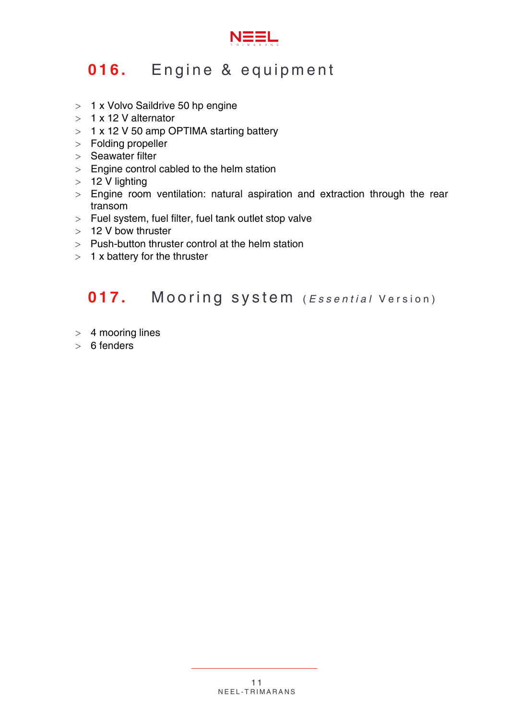

# <span id="page-10-0"></span>016. Engine & equipment

- > 1 x Volvo Saildrive 50 hp engine
- $>1$  x 12 V alternator
- $> 1 x 12 V 50$  amp OPTIMA starting battery
- Folding propeller
- $>$  Seawater filter
- $>$  Engine control cabled to the helm station
- $>12$  V lighting
- $>$  Engine room ventilation: natural aspiration and extraction through the rear transom
- $>$  Fuel system, fuel filter, fuel tank outlet stop valve
- > 12 V bow thruster
- $>$  Push-button thruster control at the helm station
- $> 1$  x battery for the thruster

# <span id="page-10-1"></span>017. Mooring system (*Essential* Version)

- $>$  4 mooring lines
- $> 6$  fenders